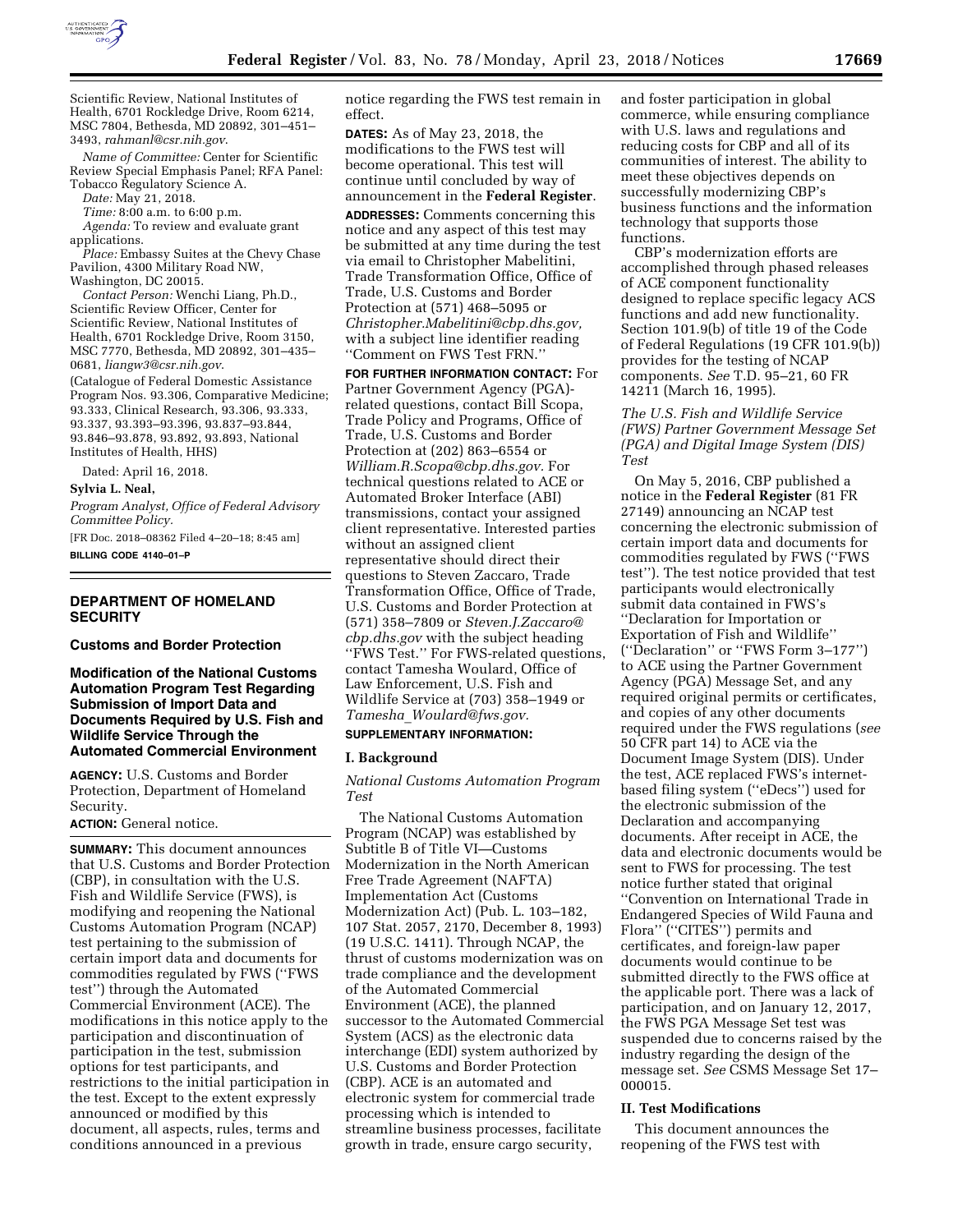

Scientific Review, National Institutes of Health, 6701 Rockledge Drive, Room 6214, MSC 7804, Bethesda, MD 20892, 301–451– 3493, *[rahmanl@csr.nih.gov](mailto:rahmanl@csr.nih.gov)*.

*Name of Committee:* Center for Scientific Review Special Emphasis Panel; RFA Panel: Tobacco Regulatory Science A.

*Date:* May 21, 2018.

*Time:* 8:00 a.m. to 6:00 p.m.

*Agenda:* To review and evaluate grant applications.

*Place:* Embassy Suites at the Chevy Chase Pavilion, 4300 Military Road NW, Washington, DC 20015.

*Contact Person:* Wenchi Liang, Ph.D., Scientific Review Officer, Center for Scientific Review, National Institutes of Health, 6701 Rockledge Drive, Room 3150, MSC 7770, Bethesda, MD 20892, 301–435– 0681, *[liangw3@csr.nih.gov](mailto:liangw3@csr.nih.gov)*.

(Catalogue of Federal Domestic Assistance Program Nos. 93.306, Comparative Medicine; 93.333, Clinical Research, 93.306, 93.333, 93.337, 93.393–93.396, 93.837–93.844, 93.846–93.878, 93.892, 93.893, National Institutes of Health, HHS)

Dated: April 16, 2018.

**Sylvia L. Neal,** 

*Program Analyst, Office of Federal Advisory Committee Policy.* 

[FR Doc. 2018–08362 Filed 4–20–18; 8:45 am]

**BILLING CODE 4140–01–P** 

### **DEPARTMENT OF HOMELAND SECURITY**

**Customs and Border Protection** 

**Modification of the National Customs Automation Program Test Regarding Submission of Import Data and Documents Required by U.S. Fish and Wildlife Service Through the Automated Commercial Environment** 

**AGENCY:** U.S. Customs and Border Protection, Department of Homeland Security.

**ACTION:** General notice.

**SUMMARY:** This document announces that U.S. Customs and Border Protection (CBP), in consultation with the U.S. Fish and Wildlife Service (FWS), is modifying and reopening the National Customs Automation Program (NCAP) test pertaining to the submission of certain import data and documents for commodities regulated by FWS (''FWS test'') through the Automated Commercial Environment (ACE). The modifications in this notice apply to the participation and discontinuation of participation in the test, submission options for test participants, and restrictions to the initial participation in the test. Except to the extent expressly announced or modified by this document, all aspects, rules, terms and conditions announced in a previous

notice regarding the FWS test remain in effect.

**DATES:** As of May 23, 2018, the modifications to the FWS test will become operational. This test will continue until concluded by way of announcement in the **Federal Register**.

**ADDRESSES:** Comments concerning this notice and any aspect of this test may be submitted at any time during the test via email to Christopher Mabelitini, Trade Transformation Office, Office of Trade, U.S. Customs and Border Protection at (571) 468–5095 or *[Christopher.Mabelitini@cbp.dhs.gov,](mailto:Christopher.Mabelitini@cbp.dhs.gov)*  with a subject line identifier reading ''Comment on FWS Test FRN.''

**FOR FURTHER INFORMATION CONTACT:** For Partner Government Agency (PGA) related questions, contact Bill Scopa, Trade Policy and Programs, Office of Trade, U.S. Customs and Border Protection at (202) 863–6554 or *[William.R.Scopa@cbp.dhs.gov.](mailto:William.R.Scopa@cbp.dhs.gov)* For technical questions related to ACE or Automated Broker Interface (ABI) transmissions, contact your assigned client representative. Interested parties without an assigned client representative should direct their questions to Steven Zaccaro, Trade Transformation Office, Office of Trade, U.S. Customs and Border Protection at (571) 358–7809 or *[Steven.J.Zaccaro@](mailto:Steven.J.Zaccaro@cbp.dhs.gov) [cbp.dhs.gov](mailto:Steven.J.Zaccaro@cbp.dhs.gov)* with the subject heading "FWS Test." For FWS-related questions, contact Tamesha Woulard, Office of Law Enforcement, U.S. Fish and Wildlife Service at (703) 358–1949 or *Tamesha*\_*[Woulard@fws.gov.](mailto:Tamesha_Woulard@fws.gov)* 

# **SUPPLEMENTARY INFORMATION:**

#### **I. Background**

*National Customs Automation Program Test* 

The National Customs Automation Program (NCAP) was established by Subtitle B of Title VI—Customs Modernization in the North American Free Trade Agreement (NAFTA) Implementation Act (Customs Modernization Act) (Pub. L. 103–182, 107 Stat. 2057, 2170, December 8, 1993) (19 U.S.C. 1411). Through NCAP, the thrust of customs modernization was on trade compliance and the development of the Automated Commercial Environment (ACE), the planned successor to the Automated Commercial System (ACS) as the electronic data interchange (EDI) system authorized by U.S. Customs and Border Protection (CBP). ACE is an automated and electronic system for commercial trade processing which is intended to streamline business processes, facilitate growth in trade, ensure cargo security,

and foster participation in global commerce, while ensuring compliance with U.S. laws and regulations and reducing costs for CBP and all of its communities of interest. The ability to meet these objectives depends on successfully modernizing CBP's business functions and the information technology that supports those functions.

CBP's modernization efforts are accomplished through phased releases of ACE component functionality designed to replace specific legacy ACS functions and add new functionality. Section 101.9(b) of title 19 of the Code of Federal Regulations (19 CFR 101.9(b)) provides for the testing of NCAP components. *See* T.D. 95–21, 60 FR 14211 (March 16, 1995).

*The U.S. Fish and Wildlife Service (FWS) Partner Government Message Set (PGA) and Digital Image System (DIS) Test* 

On May 5, 2016, CBP published a notice in the **Federal Register** (81 FR 27149) announcing an NCAP test concerning the electronic submission of certain import data and documents for commodities regulated by FWS (''FWS test''). The test notice provided that test participants would electronically submit data contained in FWS's ''Declaration for Importation or Exportation of Fish and Wildlife'' (''Declaration'' or ''FWS Form 3–177'') to ACE using the Partner Government Agency (PGA) Message Set, and any required original permits or certificates, and copies of any other documents required under the FWS regulations (*see*  50 CFR part 14) to ACE via the Document Image System (DIS). Under the test, ACE replaced FWS's internetbased filing system (''eDecs'') used for the electronic submission of the Declaration and accompanying documents. After receipt in ACE, the data and electronic documents would be sent to FWS for processing. The test notice further stated that original ''Convention on International Trade in Endangered Species of Wild Fauna and Flora" ("CITES") permits and certificates, and foreign-law paper documents would continue to be submitted directly to the FWS office at the applicable port. There was a lack of participation, and on January 12, 2017, the FWS PGA Message Set test was suspended due to concerns raised by the industry regarding the design of the message set. *See* CSMS Message Set 17– 000015.

#### **II. Test Modifications**

This document announces the reopening of the FWS test with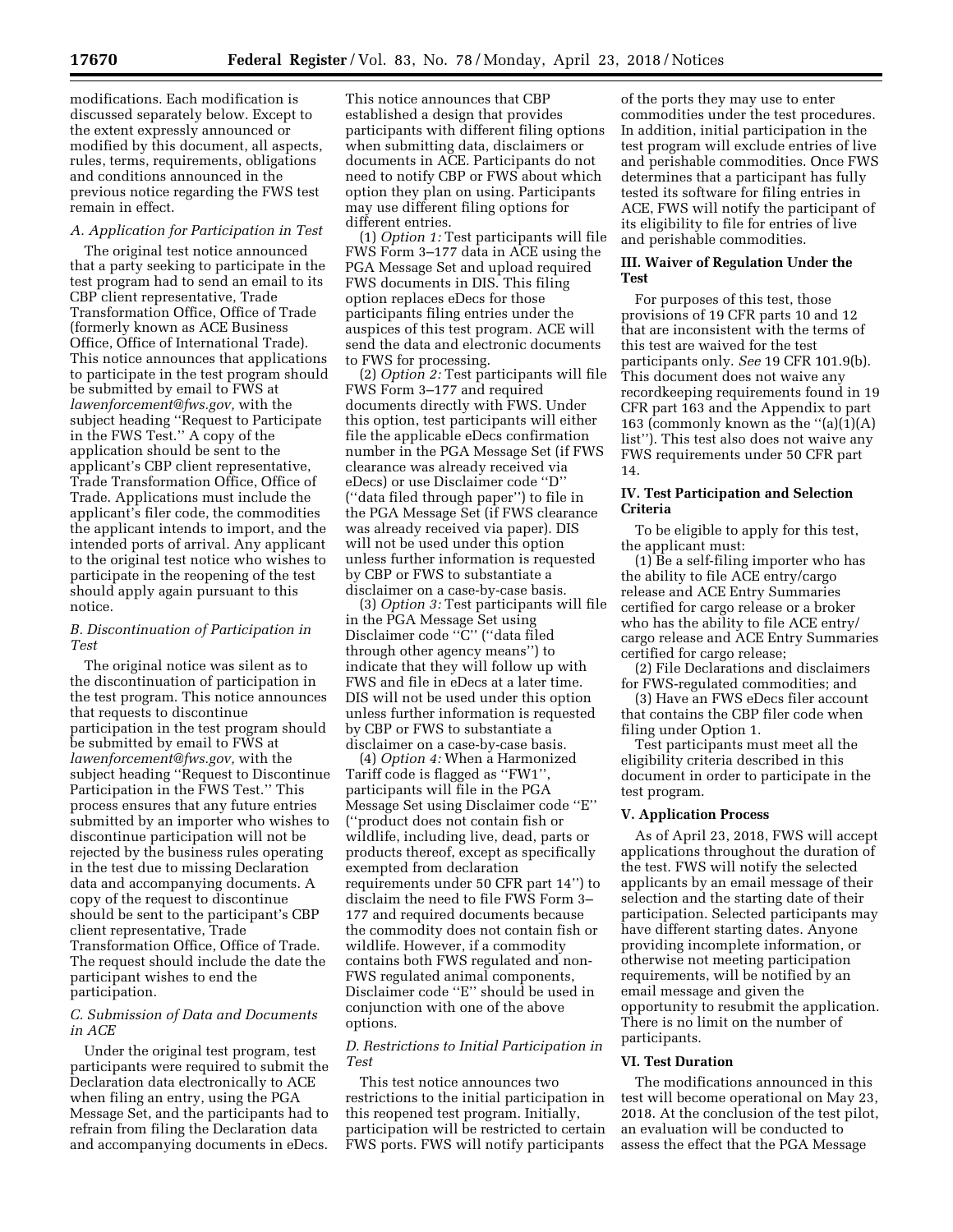modifications. Each modification is discussed separately below. Except to the extent expressly announced or modified by this document, all aspects, rules, terms, requirements, obligations and conditions announced in the previous notice regarding the FWS test remain in effect.

# *A. Application for Participation in Test*

The original test notice announced that a party seeking to participate in the test program had to send an email to its CBP client representative, Trade Transformation Office, Office of Trade (formerly known as ACE Business Office, Office of International Trade). This notice announces that applications to participate in the test program should be submitted by email to FWS at *[lawenforcement@fws.gov,](mailto:lawenforcement@fws.gov)* with the subject heading ''Request to Participate in the FWS Test.'' A copy of the application should be sent to the applicant's CBP client representative, Trade Transformation Office, Office of Trade. Applications must include the applicant's filer code, the commodities the applicant intends to import, and the intended ports of arrival. Any applicant to the original test notice who wishes to participate in the reopening of the test should apply again pursuant to this notice.

## *B. Discontinuation of Participation in Test*

The original notice was silent as to the discontinuation of participation in the test program. This notice announces that requests to discontinue participation in the test program should be submitted by email to FWS at *[lawenforcement@fws.gov,](mailto:lawenforcement@fws.gov)* with the subject heading ''Request to Discontinue Participation in the FWS Test.'' This process ensures that any future entries submitted by an importer who wishes to discontinue participation will not be rejected by the business rules operating in the test due to missing Declaration data and accompanying documents. A copy of the request to discontinue should be sent to the participant's CBP client representative, Trade Transformation Office, Office of Trade. The request should include the date the participant wishes to end the participation.

## *C. Submission of Data and Documents in ACE*

Under the original test program, test participants were required to submit the Declaration data electronically to ACE when filing an entry, using the PGA Message Set, and the participants had to refrain from filing the Declaration data and accompanying documents in eDecs.

This notice announces that CBP established a design that provides participants with different filing options when submitting data, disclaimers or documents in ACE. Participants do not need to notify CBP or FWS about which option they plan on using. Participants may use different filing options for different entries.

(1) *Option 1:* Test participants will file FWS Form 3–177 data in ACE using the PGA Message Set and upload required FWS documents in DIS. This filing option replaces eDecs for those participants filing entries under the auspices of this test program. ACE will send the data and electronic documents to FWS for processing.

(2) *Option 2:* Test participants will file FWS Form 3–177 and required documents directly with FWS. Under this option, test participants will either file the applicable eDecs confirmation number in the PGA Message Set (if FWS clearance was already received via eDecs) or use Disclaimer code ''D'' (''data filed through paper'') to file in the PGA Message Set (if FWS clearance was already received via paper). DIS will not be used under this option unless further information is requested by CBP or FWS to substantiate a disclaimer on a case-by-case basis.

(3) *Option 3:* Test participants will file in the PGA Message Set using Disclaimer code ''C'' (''data filed through other agency means'') to indicate that they will follow up with FWS and file in eDecs at a later time. DIS will not be used under this option unless further information is requested by CBP or FWS to substantiate a disclaimer on a case-by-case basis.

(4) *Option 4:* When a Harmonized Tariff code is flagged as ''FW1'', participants will file in the PGA Message Set using Disclaimer code ''E'' (''product does not contain fish or wildlife, including live, dead, parts or products thereof, except as specifically exempted from declaration requirements under 50 CFR part 14'') to disclaim the need to file FWS Form 3– 177 and required documents because the commodity does not contain fish or wildlife. However, if a commodity contains both FWS regulated and non-FWS regulated animal components, Disclaimer code ''E'' should be used in conjunction with one of the above options.

### *D. Restrictions to Initial Participation in Test*

This test notice announces two restrictions to the initial participation in this reopened test program. Initially, participation will be restricted to certain FWS ports. FWS will notify participants

of the ports they may use to enter commodities under the test procedures. In addition, initial participation in the test program will exclude entries of live and perishable commodities. Once FWS determines that a participant has fully tested its software for filing entries in ACE, FWS will notify the participant of its eligibility to file for entries of live and perishable commodities.

## **III. Waiver of Regulation Under the Test**

For purposes of this test, those provisions of 19 CFR parts 10 and 12 that are inconsistent with the terms of this test are waived for the test participants only. *See* 19 CFR 101.9(b). This document does not waive any recordkeeping requirements found in 19 CFR part 163 and the Appendix to part 163 (commonly known as the  $\lq (a)(1)(A)$ list''). This test also does not waive any FWS requirements under 50 CFR part 14.

## **IV. Test Participation and Selection Criteria**

To be eligible to apply for this test, the applicant must:

(1) Be a self-filing importer who has the ability to file ACE entry/cargo release and ACE Entry Summaries certified for cargo release or a broker who has the ability to file ACE entry/ cargo release and ACE Entry Summaries certified for cargo release;

(2) File Declarations and disclaimers for FWS-regulated commodities; and

(3) Have an FWS eDecs filer account that contains the CBP filer code when filing under Option 1.

Test participants must meet all the eligibility criteria described in this document in order to participate in the test program.

#### **V. Application Process**

As of April 23, 2018, FWS will accept applications throughout the duration of the test. FWS will notify the selected applicants by an email message of their selection and the starting date of their participation. Selected participants may have different starting dates. Anyone providing incomplete information, or otherwise not meeting participation requirements, will be notified by an email message and given the opportunity to resubmit the application. There is no limit on the number of participants.

#### **VI. Test Duration**

The modifications announced in this test will become operational on May 23, 2018. At the conclusion of the test pilot, an evaluation will be conducted to assess the effect that the PGA Message